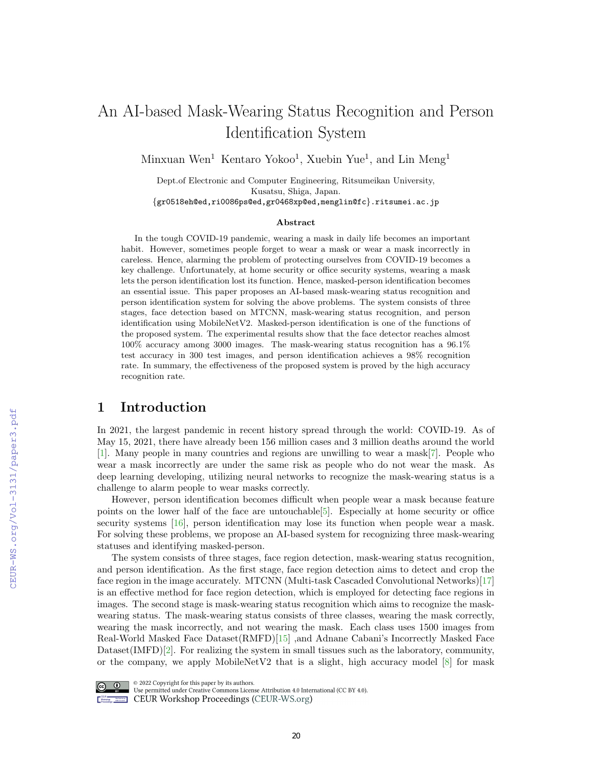# An AI-based Mask-Wearing Status Recognition and Person Identification System

Minxuan Wen<sup>1</sup> Kentaro Yokoo<sup>1</sup>, Xuebin Yue<sup>1</sup>, and Lin Meng<sup>1</sup>

Dept.of Electronic and Computer Engineering, Ritsumeikan University, Kusatsu, Shiga, Japan.

{gr0518eh@ed,ri0086ps@ed,gr0468xp@ed,menglin@fc}.ritsumei.ac.jp

#### Abstract

In the tough COVID-19 pandemic, wearing a mask in daily life becomes an important habit. However, sometimes people forget to wear a mask or wear a mask incorrectly in careless. Hence, alarming the problem of protecting ourselves from COVID-19 becomes a key challenge. Unfortunately, at home security or office security systems, wearing a mask lets the person identification lost its function. Hence, masked-person identification becomes an essential issue. This paper proposes an AI-based mask-wearing status recognition and person identification system for solving the above problems. The system consists of three stages, face detection based on MTCNN, mask-wearing status recognition, and person identification using MobileNetV2. Masked-person identification is one of the functions of the proposed system. The experimental results show that the face detector reaches almost 100% accuracy among 3000 images. The mask-wearing status recognition has a 96.1% test accuracy in 300 test images, and person identification achieves a 98% recognition rate. In summary, the effectiveness of the proposed system is proved by the high accuracy recognition rate.

### 1 Introduction

In 2021, the largest pandemic in recent history spread through the world: COVID-19. As of May 15, 2021, there have already been 156 million cases and 3 million deaths around the world [\[1\]](#page--1-0). Many people in many countries and regions are unwilling to wear a mask[\[7\]](#page--1-1). People who wear a mask incorrectly are under the same risk as people who do not wear the mask. As deep learning developing, utilizing neural networks to recognize the mask-wearing status is a challenge to alarm people to wear masks correctly.

However, person identification becomes difficult when people wear a mask because feature points on the lower half of the face are untouchable[\[5\]](#page--1-2). Especially at home security or office security systems [\[16\]](#page--1-3), person identification may lose its function when people wear a mask. For solving these problems, we propose an AI-based system for recognizing three mask-wearing statuses and identifying masked-person.

The system consists of three stages, face region detection, mask-wearing status recognition, and person identification. As the first stage, face region detection aims to detect and crop the face region in the image accurately. MTCNN (Multi-task Cascaded Convolutional Networks)[\[17\]](#page--1-4) is an effective method for face region detection, which is employed for detecting face regions in images. The second stage is mask-wearing status recognition which aims to recognize the maskwearing status. The mask-wearing status consists of three classes, wearing the mask correctly, wearing the mask incorrectly, and not wearing the mask. Each class uses 1500 images from Real-World Masked Face Dataset(RMFD)[\[15\]](#page--1-5) ,and Adnane Cabani's Incorrectly Masked Face Dataset(IMFD)[\[2\]](#page--1-6). For realizing the system in small tissues such as the laboratory, community, or the company, we apply MobileNetV2 that is a slight, high accuracy model  $[8]$  for mask



@ 2022 Copyright for this paper by its authors.

Use permitted under Creative Commons License Attribution 4.0 International (CC BY 4.0). **Example 2018** CEUR Workshop Proceedings (CEUR-WS.org)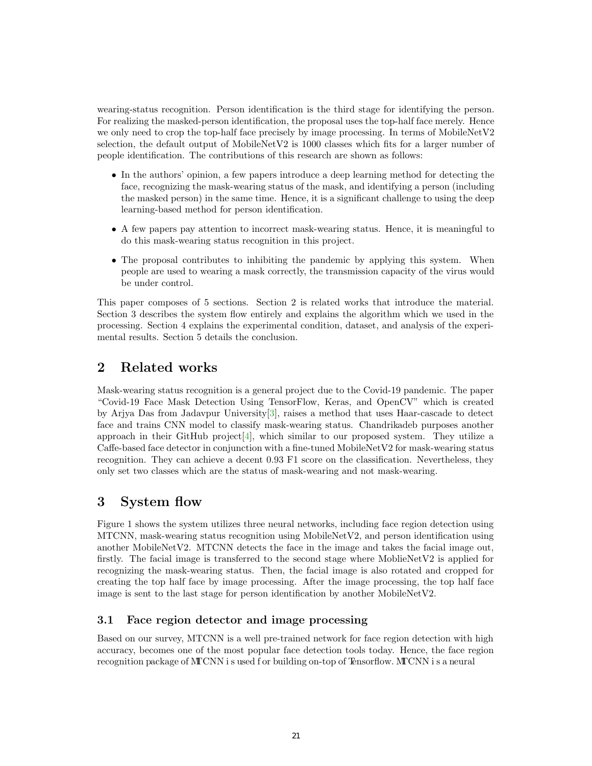wearing-status recognition. Person identification is the third stage for identifying the person. For realizing the masked-person identification, the proposal uses the top-half face merely. Hence we only need to crop the top-half face precisely by image processing. In terms of MobileNetV2 selection, the default output of MobileNetV2 is 1000 classes which fits for a larger number of people identification. The contributions of this research are shown as follows:

- In the authors' opinion, a few papers introduce a deep learning method for detecting the face, recognizing the mask-wearing status of the mask, and identifying a person (including the masked person) in the same time. Hence, it is a significant challenge to using the deep learning-based method for person identification.
- A few papers pay attention to incorrect mask-wearing status. Hence, it is meaningful to do this mask-wearing status recognition in this project.
- The proposal contributes to inhibiting the pandemic by applying this system. When people are used to wearing a mask correctly, the transmission capacity of the virus would be under control.

This paper composes of 5 sections. Section 2 is related works that introduce the material. Section 3 describes the system flow entirely and explains the algorithm which we used in the processing. Section 4 explains the experimental condition, dataset, and analysis of the experimental results. Section 5 details the conclusion.

# 2 Related works

Mask-wearing status recognition is a general project due to the Covid-19 pandemic. The paper "Covid-19 Face Mask Detection Using TensorFlow, Keras, and OpenCV" which is created by Arjya Das from Jadavpur Universit[y\[3\],](#page-7-0) raises a method that uses Haar-cascade to detect face and trains CNN model to classify mask-wearing status. Chandrikadeb purposes another approach in their GitHub project $[4]$ , which similar to our proposed system. They utilize a Caffe-based face detector in conjunction with a fine-tuned MobileNetV2 for mask-wearing status recognition. They can achieve a decent 0.93 F1 score on the classification. Nevertheless, they only set two classes which are the status of mask-wearing and not mask-wearing.

# 3 System flow

Figure 1 shows the system utilizes three neural networks, including face region detection using MTCNN, mask-wearing status recognition using MobileNetV2, and person identification using another MobileNetV2. MTCNN detects the face in the image and takes the facial image out, firstly. The facial image is transferred to the second stage where MoblieNetV2 is applied for recognizing the mask-wearing status. Then, the facial image is also rotated and cropped for creating the top half face by image processing. After the image processing, the top half face image is sent to the last stage for person identification by another MobileNetV2.

### 3.1 Face region detector and image processing

Based on our survey, MTCNN is a well pre-trained network for face region detection with high accuracy, becomes one of the most popular face detection tools today. Hence, the face region recognition package of MTCNN i s used f or building on-top of Tensorflow. MTCNN i s a neural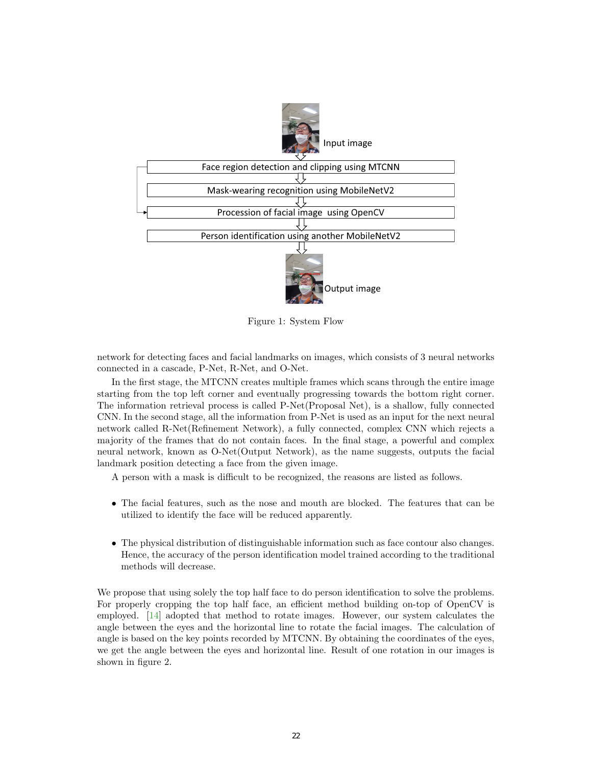

Figure 1: System Flow

network for detecting faces and facial landmarks on images, which consists of 3 neural networks connected in a cascade, P-Net, R-Net, and O-Net.

In the first stage, the MTCNN creates multiple frames which scans through the entire image starting from the top left corner and eventually progressing towards the bottom right corner. The information retrieval process is called P-Net(Proposal Net), is a shallow, fully connected CNN. In the second stage, all the information from P-Net is used as an input for the next neural network called R-Net(Refinement Network), a fully connected, complex CNN which rejects a majority of the frames that do not contain faces. In the final stage, a powerful and complex neural network, known as O-Net(Output Network), as the name suggests, outputs the facial landmark position detecting a face from the given image.

A person with a mask is difficult to be recognized, the reasons are listed as follows.

- The facial features, such as the nose and mouth are blocked. The features that can be utilized to identify the face will be reduced apparently.
- The physical distribution of distinguishable information such as face contour also changes. Hence, the accuracy of the person identification model trained according to the traditional methods will decrease.

We propose that using solely the top half face to do person identification to solve the problems. For properly cropping the top half face, an efficient method building on-top of OpenCV is employed. [\[14\]](#page-7-2) adopted that method to rotate images. However, our system calculates the angle between the eyes and the horizontal line to rotate the facial images. The calculation of angle is based on the key points recorded by MTCNN. By obtaining the coordinates of the eyes, we get the angle between the eyes and horizontal line. Result of one rotation in our images is shown in figure 2.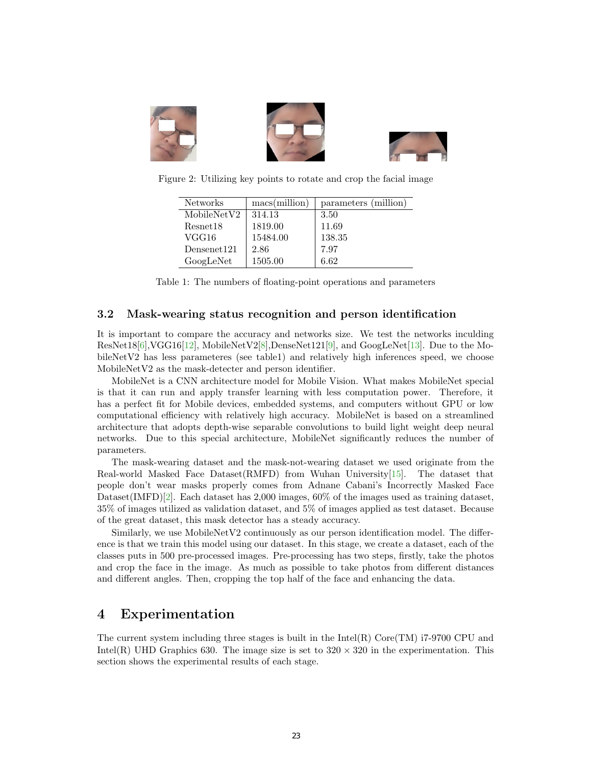

Figure 2: Utilizing key points to rotate and crop the facial image

| <b>Networks</b> | $\text{macs}(\text{million})$ | parameters (million) |
|-----------------|-------------------------------|----------------------|
| MobileNetV2     | 314.13                        | 3.50                 |
| Resnet18        | 1819.00                       | 11.69                |
| VGG16           | 15484.00                      | 138.35               |
| Densenet121     | 2.86                          | 7.97                 |
| GoogLeNet       | 1505.00                       | 6.62                 |

Table 1: The numbers of floating-point operations and parameters

#### 3.2 Mask-wearing status recognition and person identification

It is important to compare the accuracy and networks size. We test the networks inculding ResNet18[\[6\]](#page-7-3),VGG16[\[12\]](#page-7-4), MobileNetV2[\[8\]](#page-7-5),DenseNet121[\[9\]](#page-7-6), and GoogLeNet[\[13\].](#page-7-7) Due to the MobileNetV2 has less parameteres (see table1) and relatively high inferences speed, we choose MobileNetV2 as the mask-detecter and person identifier.

MobileNet is a CNN architecture model for Mobile Vision. What makes MobileNet special is that it can run and apply transfer learning with less computation power. Therefore, it has a perfect fit for Mobile devices, embedded systems, and computers without GPU or low computational efficiency with relatively high accuracy. MobileNet is based on a streamlined architecture that adopts depth-wise separable convolutions to build light weight deep neural networks. Due to this special architecture, MobileNet significantly reduces the number of parameters.

The mask-wearing dataset and the mask-not-wearing dataset we used originate from the Real-world Masked Face Dataset  $(RMFD)$  from Wuhan University [15]. The dataset that people don't wear masks properly comes from Adnane Cabani's Incorrectly Masked Face Dataset(IMFD)[\[2\]](#page-7-9). Each dataset has 2,000 images, 60% of the images used as training dataset, 35% of images utilized as validation dataset, and 5% of images applied as test dataset. Because of the great dataset, this mask detector has a steady accuracy.

Similarly, we use MobileNetV2 continuously as our person identification model. The difference is that we train this model using our dataset. In this stage, we create a dataset, each of the classes puts in 500 pre-processed images. Pre-processing has two steps, firstly, take the photos and crop the face in the image. As much as possible to take photos from different distances and different angles. Then, cropping the top half of the face and enhancing the data.

### 4 Experimentation

The current system including three stages is built in the  $Intel(R)$  Core $(TM)$  i7-9700 CPU and Intel(R) UHD Graphics 630. The image size is set to  $320 \times 320$  in the experimentation. This section shows the experimental results of each stage.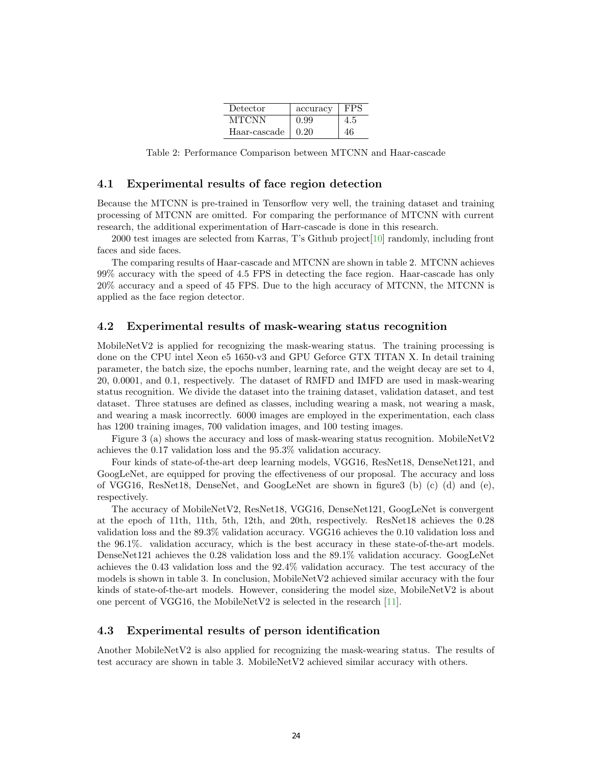| Detector     | accuracy | FPS. |
|--------------|----------|------|
| MTCNN        | 0.99     | 4.5  |
| Haar-cascade | 0.20     | 46   |

Table 2: Performance Comparison between MTCNN and Haar-cascade

#### 4.1 Experimental results of face region detection

Because the MTCNN is pre-trained in Tensorflow very well, the training dataset and training processing of MTCNN are omitted. For comparing the performance of MTCNN with current research, the additional experimentation of Harr-cascade is done in this research.

2000 test images are selected from Karras, T's Github project[\[10\]](#page-7-10) randomly, including front faces and side faces.

The comparing results of Haar-cascade and MTCNN are shown in table 2. MTCNN achieves 99% accuracy with the speed of 4.5 FPS in detecting the face region. Haar-cascade has only 20% accuracy and a speed of 45 FPS. Due to the high accuracy of MTCNN, the MTCNN is applied as the face region detector.

#### 4.2 Experimental results of mask-wearing status recognition

MobileNetV2 is applied for recognizing the mask-wearing status. The training processing is done on the CPU intel Xeon e5 1650-v3 and GPU Geforce GTX TITAN X. In detail training parameter, the batch size, the epochs number, learning rate, and the weight decay are set to 4, 20, 0.0001, and 0.1, respectively. The dataset of RMFD and IMFD are used in mask-wearing status recognition. We divide the dataset into the training dataset, validation dataset, and test dataset. Three statuses are defined as classes, including wearing a mask, not wearing a mask, and wearing a mask incorrectly. 6000 images are employed in the experimentation, each class has 1200 training images, 700 validation images, and 100 testing images.

Figure 3 (a) shows the accuracy and loss of mask-wearing status recognition. MobileNetV2 achieves the 0.17 validation loss and the 95.3% validation accuracy.

Four kinds of state-of-the-art deep learning models, VGG16, ResNet18, DenseNet121, and GoogLeNet, are equipped for proving the effectiveness of our proposal. The accuracy and loss of VGG16, ResNet18, DenseNet, and GoogLeNet are shown in figure3 (b) (c) (d) and (e), respectively.

The accuracy of MobileNetV2, ResNet18, VGG16, DenseNet121, GoogLeNet is convergent at the epoch of 11th, 11th, 5th, 12th, and 20th, respectively. ResNet18 achieves the 0.28 validation loss and the 89.3% validation accuracy. VGG16 achieves the 0.10 validation loss and the 96.1%. validation accuracy, which is the best accuracy in these state-of-the-art models. DenseNet121 achieves the 0.28 validation loss and the 89.1% validation accuracy. GoogLeNet achieves the 0.43 validation loss and the 92.4% validation accuracy. The test accuracy of the models is shown in table 3. In conclusion, MobileNetV2 achieved similar accuracy with the four kinds of state-of-the-art models. However, considering the model size, MobileNetV2 is about one percent of VGG16, the MobileNetV2 is selected in the research [\[11\]](#page-7-11).

#### 4.3 Experimental results of person identification

Another MobileNetV2 is also applied for recognizing the mask-wearing status. The results of test accuracy are shown in table 3. MobileNetV2 achieved similar accuracy with others.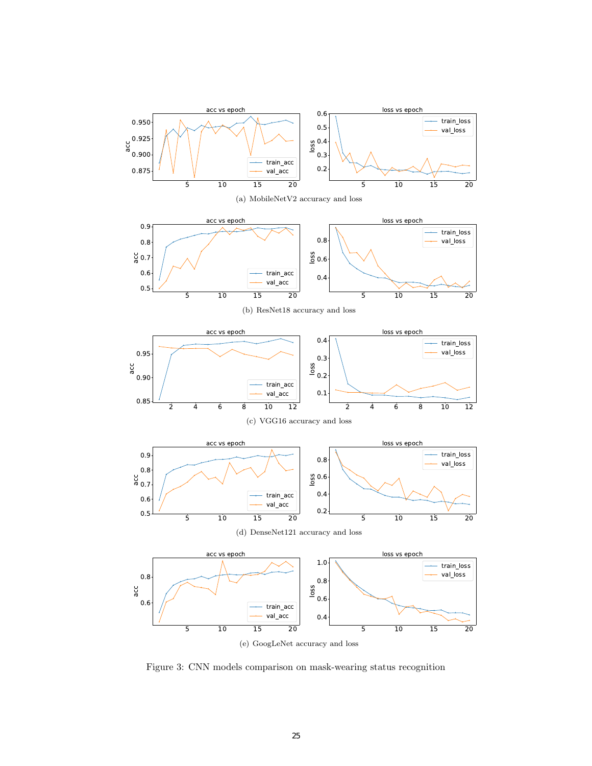

(e) GoogLeNet accuracy and loss

Figure 3: CNN models comparison on mask-wearing status recognition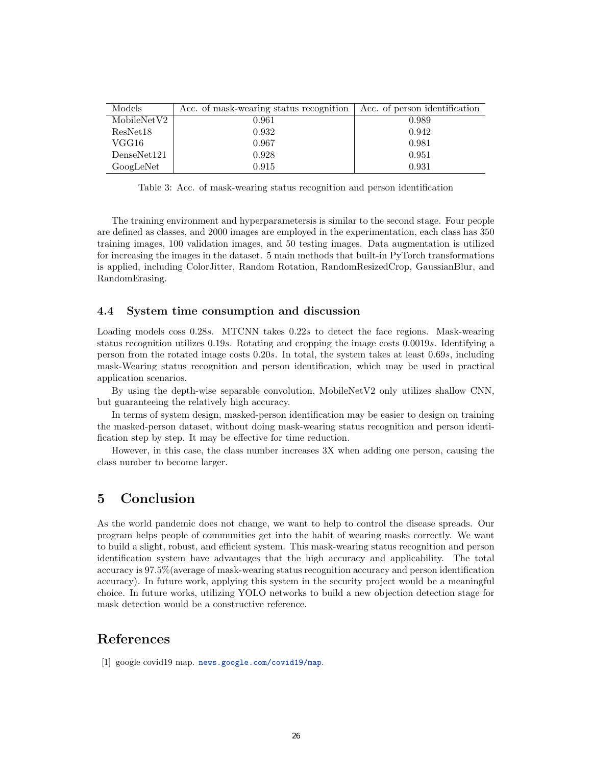| Models      | Acc. of mask-wearing status recognition | Acc. of person identification |
|-------------|-----------------------------------------|-------------------------------|
| MobileNetV2 | 0.961                                   | 0.989                         |
| ResNet18    | 0.932                                   | 0.942                         |
| VGG16       | 0.967                                   | 0.981                         |
| DenseNet121 | 0.928                                   | 0.951                         |
| GoogLeNet   | 0.915                                   | 0.931                         |

Table 3: Acc. of mask-wearing status recognition and person identification

The training environment and hyperparametersis is similar to the second stage. Four people are defined as classes, and 2000 images are employed in the experimentation, each class has 350 training images, 100 validation images, and 50 testing images. Data augmentation is utilized for increasing the images in the dataset. 5 main methods that built-in PyTorch transformations is applied, including ColorJitter, Random Rotation, RandomResizedCrop, GaussianBlur, and RandomErasing.

### 4.4 System time consumption and discussion

Loading models coss 0.28s. MTCNN takes 0.22s to detect the face regions. Mask-wearing status recognition utilizes 0.19s. Rotating and cropping the image costs 0.0019s. Identifying a person from the rotated image costs 0.20s. In total, the system takes at least 0.69s, including mask-Wearing status recognition and person identification, which may be used in practical application scenarios.

By using the depth-wise separable convolution, MobileNetV2 only utilizes shallow CNN, but guaranteeing the relatively high accuracy.

In terms of system design, masked-person identification may be easier to design on training the masked-person dataset, without doing mask-wearing status recognition and person identification step by step. It may be effective for time reduction.

However, in this case, the class number increases 3X when adding one person, causing the class number to become larger.

### 5 Conclusion

As the world pandemic does not change, we want to help to control the disease spreads. Our program helps people of communities get into the habit of wearing masks correctly. We want to build a slight, robust, and efficient system. This mask-wearing status recognition and person identification system have advantages that the high accuracy and applicability. The total accuracy is 97.5%(average of mask-wearing status recognition accuracy and person identification accuracy). In future work, applying this system in the security project would be a meaningful choice. In future works, utilizing YOLO networks to build a new objection detection stage for mask detection would be a constructive reference.

### References

[1] google covid19 map. <news.google.com/covid19/map>.